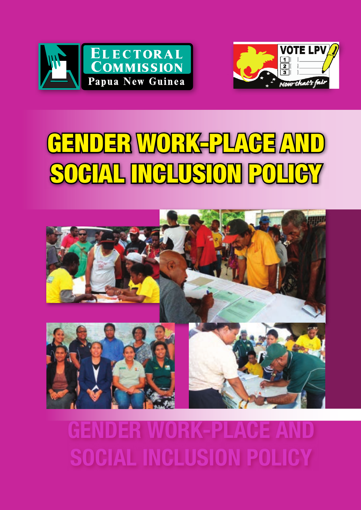



## ER WORK-PLACE OCIAL INGLUSION POLIC



## GENDER WORK-PLACE AND SOCIAL INCLUSION POLICY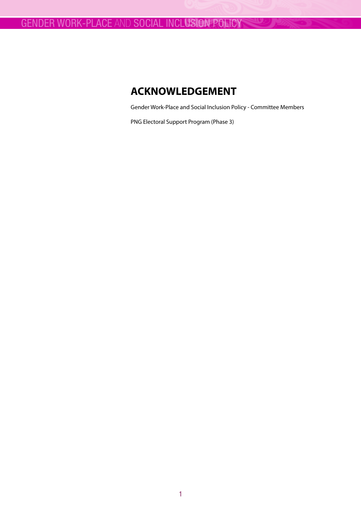## **ACKNOWLEDGEMENT**

Gender Work-Place and Social Inclusion Policy - Committee Members

PNG Electoral Support Program (Phase 3)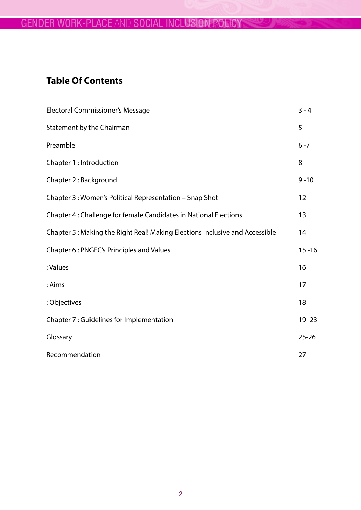## **Table Of Contents**

| <b>Electoral Commissioner's Message</b>                                     | $3 - 4$   |
|-----------------------------------------------------------------------------|-----------|
| Statement by the Chairman                                                   | 5         |
| Preamble                                                                    | $6 - 7$   |
| Chapter 1 : Introduction                                                    | 8         |
| Chapter 2: Background                                                       | $9 - 10$  |
| Chapter 3: Women's Political Representation - Snap Shot                     | 12        |
| Chapter 4 : Challenge for female Candidates in National Elections           | 13        |
| Chapter 5: Making the Right Real! Making Elections Inclusive and Accessible | 14        |
| Chapter 6: PNGEC's Principles and Values                                    | $15 - 16$ |
| : Values                                                                    | 16        |
| : Aims                                                                      | 17        |
| : Objectives                                                                | 18        |
| Chapter 7 : Guidelines for Implementation                                   | $19 - 23$ |
| Glossary                                                                    | $25 - 26$ |
| Recommendation                                                              | 27        |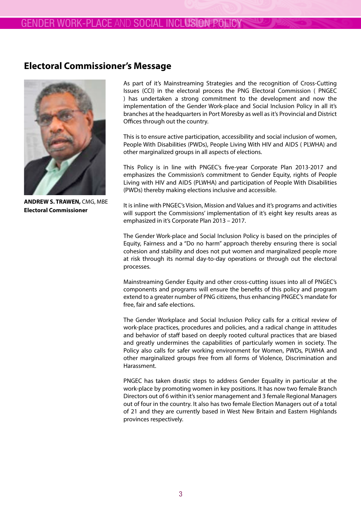### **Electoral Commissioner's Message**



**ANDREW S. TRAWEN,** CMG, MBE **Electoral Commissioner**

As part of it's Mainstreaming Strategies and the recognition of Cross-Cutting Issues (CCI) in the electoral process the PNG Electoral Commission ( PNGEC ) has undertaken a strong commitment to the development and now the implementation of the Gender Work-place and Social Inclusion Policy in all it's branches at the headquarters in Port Moresby as well as it's Provincial and District Offices through out the country.

This is to ensure active participation, accessibility and social inclusion of women, People With Disabilities (PWDs), People Living With HIV and AIDS ( PLWHA) and other marginalized groups in all aspects of elections.

This Policy is in line with PNGEC's five-year Corporate Plan 2013-2017 and emphasizes the Commission's commitment to Gender Equity, rights of People Living with HIV and AIDS (PLWHA) and participation of People With Disabilities (PWDs) thereby making elections inclusive and accessible.

It is inline with PNGEC's Vision, Mission and Values and it's programs and activities will support the Commissions' implementation of it's eight key results areas as emphasized in it's Corporate Plan 2013 – 2017.

The Gender Work-place and Social Inclusion Policy is based on the principles of Equity, Fairness and a "Do no harm" approach thereby ensuring there is social cohesion and stability and does not put women and marginalized people more at risk through its normal day-to-day operations or through out the electoral processes.

Mainstreaming Gender Equity and other cross-cutting issues into all of PNGEC's components and programs will ensure the benefits of this policy and program extend to a greater number of PNG citizens, thus enhancing PNGEC's mandate for free, fair and safe elections.

The Gender Workplace and Social Inclusion Policy calls for a critical review of work-place practices, procedures and policies, and a radical change in attitudes and behavior of staff based on deeply rooted cultural practices that are biased and greatly undermines the capabilities of particularly women in society. The Policy also calls for safer working environment for Women, PWDs, PLWHA and other marginalized groups free from all forms of Violence, Discrimination and Harassment.

PNGEC has taken drastic steps to address Gender Equality in particular at the work-place by promoting women in key positions. It has now two female Branch Directors out of 6 within it's senior management and 3 female Regional Managers out of four in the country. It also has two female Election Managers out of a total of 21 and they are currently based in West New Britain and Eastern Highlands provinces respectively.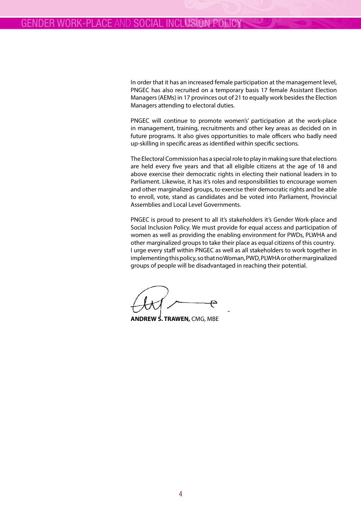In order that it has an increased female participation at the management level, PNGEC has also recruited on a temporary basis 17 female Assistant Election Managers (AEMs) in 17 provinces out of 21 to equally work besides the Election Managers attending to electoral duties.

PNGEC will continue to promote women's' participation at the work-place in management, training, recruitments and other key areas as decided on in future programs. It also gives opportunities to male officers who badly need up-skilling in specific areas as identified within specific sections.

The Electoral Commission has a special role to play in making sure that elections are held every five years and that all eligible citizens at the age of 18 and above exercise their democratic rights in electing their national leaders in to Parliament. Likewise, it has it's roles and responsibilities to encourage women and other marginalized groups, to exercise their democratic rights and be able to enroll, vote, stand as candidates and be voted into Parliament, Provincial Assemblies and Local Level Governments.

PNGEC is proud to present to all it's stakeholders it's Gender Work-place and Social Inclusion Policy. We must provide for equal access and participation of women as well as providing the enabling environment for PWDs, PLWHA and other marginalized groups to take their place as equal citizens of this country. I urge every staff within PNGEC as well as all stakeholders to work together in implementing this policy, so that no Woman, PWD, PLWHA or other marginalized groups of people will be disadvantaged in reaching their potential.

**ANDREW S. TRAWEN,** CMG, MBE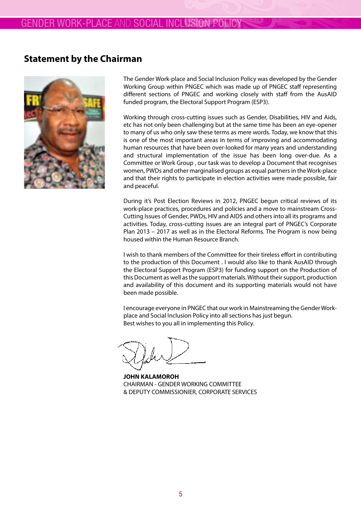## **Statement by the Chairman**



The Gender Work-place and Social Inclusion Policy was developed by the Gender Working Group within PNGEC which was made up of PNGEC staff representing different sections of PNGEC and working closely with staff from the AusAID funded program, the Electoral Support Program (ESP3).

Working through cross-cutting issues such as Gender, Disabilities, HIV and Aids, etc has not only been challenging but at the same time has been an eye-opener to many of us who only saw these terms as mere words. Today, we know that this is one of the most important areas in terms of improving and accommodating human resources that have been over-looked for many years and understanding and structural implementation of the issue has been long over-due. As a Committee or Work Group , our task was to develop a Document that recognises women, PWDs and other marginalised groups as equal partners in the Work-place and that their rights to participate in election activities were made possible, fair and peaceful.

During it's Post Election Reviews in 2012, PNGEC begun critical reviews of its work-place practices, procedures and policies and a move to mainstream Cross-Cutting Issues of Gender, PWDs, HIV and AIDS and others into all its programs and activities. Today, cross-cutting issues are an integral part of PNGEC's Corporate Plan 2013 – 2017 as well as in the Electoral Reforms. The Program is now being housed within the Human Resource Branch.

I wish to thank members of the Committee for their tireless effort in contributing to the production of this Document . I would also like to thank AusAID through the Electoral Support Program (ESP3) for funding support on the Production of this Document as well as the support materials. Without their support, production and availability of this document and its supporting materials would not have been made possible.

I encourage everyone in PNGEC that our work in Mainstreaming the Gender Workplace and Social Inclusion Policy into all sections has just begun. Best wishes to you all in implementing this Policy.

**JOHN KALAMOROH** CHAIRMAN - GENDER WORKING COMMITTEE & DEPUTY COMMISSIONIER, CORPORATE SERVICES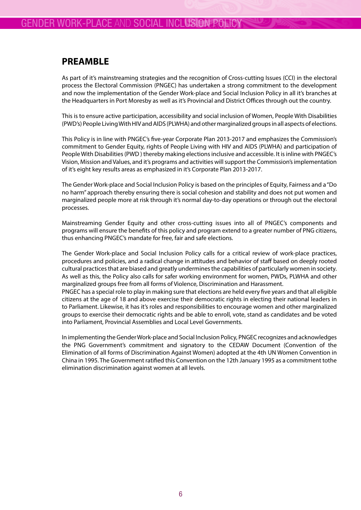## **PREAMBLE**

As part of it's mainstreaming strategies and the recognition of Cross-cutting Issues (CCI) in the electoral process the Electoral Commission (PNGEC) has undertaken a strong commitment to the development and now the implementation of the Gender Work-place and Social Inclusion Policy in all it's branches at the Headquarters in Port Moresby as well as it's Provincial and District Offices through out the country.

This is to ensure active participation, accessibility and social inclusion of Women, People With Disabilities (PWD's) People Living With HIV and AIDS (PLWHA) and other marginalized groups in all aspects of elections.

This Policy is in line with PNGEC's five-year Corporate Plan 2013-2017 and emphasizes the Commission's commitment to Gender Equity, rights of People Living with HIV and AIDS (PLWHA) and participation of People With Disabilities (PWD ) thereby making elections inclusive and accessible. It is inline with PNGEC's Vision, Mission and Values, and it's programs and activities will support the Commission's implementation of it's eight key results areas as emphasized in it's Corporate Plan 2013-2017.

The Gender Work-place and Social Inclusion Policy is based on the principles of Equity, Fairness and a "Do no harm" approach thereby ensuring there is social cohesion and stability and does not put women and marginalized people more at risk through it's normal day-to-day operations or through out the electoral processes.

Mainstreaming Gender Equity and other cross-cutting issues into all of PNGEC's components and programs will ensure the benefits of this policy and program extend to a greater number of PNG citizens, thus enhancing PNGEC's mandate for free, fair and safe elections.

The Gender Work-place and Social Inclusion Policy calls for a critical review of work-place practices, procedures and policies, and a radical change in attitudes and behavior of staff based on deeply rooted cultural practices that are biased and greatly undermines the capabilities of particularly women in society. As well as this, the Policy also calls for safer working environment for women, PWDs, PLWHA and other marginalized groups free from all forms of Violence, Discrimination and Harassment.

PNGEC has a special role to play in making sure that elections are held every five years and that all eligible citizens at the age of 18 and above exercise their democratic rights in electing their national leaders in to Parliament. Likewise, it has it's roles and responsibilities to encourage women and other marginalized groups to exercise their democratic rights and be able to enroll, vote, stand as candidates and be voted into Parliament, Provincial Assemblies and Local Level Governments.

In implementing the Gender Work-place and Social Inclusion Policy, PNGEC recognizes and acknowledges the PNG Government's commitment and signatory to the CEDAW Document (Convention of the Elimination of all forms of Discrimination Against Women) adopted at the 4th UN Women Convention in China in 1995. The Government ratified this Convention on the 12th January 1995 as a commitment tothe elimination discrimination against women at all levels.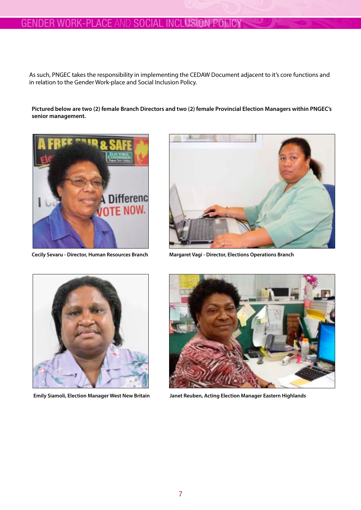As such, PNGEC takes the responsibility in implementing the CEDAW Document adjacent to it's core functions and in relation to the Gender Work-place and Social Inclusion Policy.

**Pictured below are two (2) female Branch Directors and two (2) female Provincial Election Managers within PNGEC's senior management.**





**Cecily Sevaru - Director, Human Resources Branch Margaret Vagi - Director, Elections Operations Branch**





**Emily Siamoli, Election Manager West New Britain Janet Reuben, Acting Election Manager Eastern Highlands**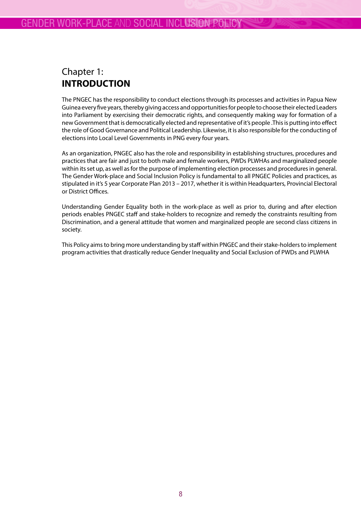## Chapter 1: **INTRODUCTION**

The PNGEC has the responsibility to conduct elections through its processes and activities in Papua New Guinea every five years, thereby giving access and opportunities for people to choose their elected Leaders into Parliament by exercising their democratic rights, and consequently making way for formation of a new Government that is democratically elected and representative of it's people .This is putting into effect the role of Good Governance and Political Leadership. Likewise, it is also responsible for the conducting of elections into Local Level Governments in PNG every four years.

As an organization, PNGEC also has the role and responsibility in establishing structures, procedures and practices that are fair and just to both male and female workers, PWDs PLWHAs and marginalized people within its set up, as well as for the purpose of implementing election processes and procedures in general. The Gender Work-place and Social Inclusion Policy is fundamental to all PNGEC Policies and practices, as stipulated in it's 5 year Corporate Plan 2013 – 2017, whether it is within Headquarters, Provincial Electoral or District Offices.

Understanding Gender Equality both in the work-place as well as prior to, during and after election periods enables PNGEC staff and stake-holders to recognize and remedy the constraints resulting from Discrimination, and a general attitude that women and marginalized people are second class citizens in society.

This Policy aims to bring more understanding by staff within PNGEC and their stake-holders to implement program activities that drastically reduce Gender Inequality and Social Exclusion of PWDs and PLWHA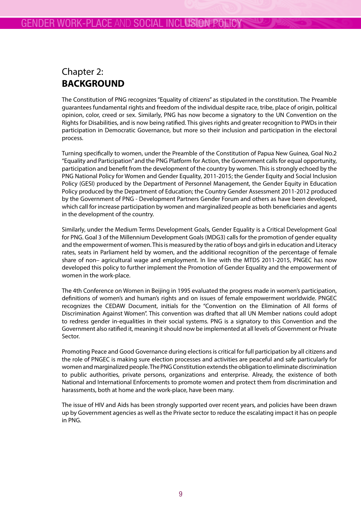## Chapter 2: **BACKGROUND**

The Constitution of PNG recognizes "Equality of citizens" as stipulated in the constitution. The Preamble guarantees fundamental rights and freedom of the individual despite race, tribe, place of origin, political opinion, color, creed or sex. Similarly, PNG has now become a signatory to the UN Convention on the Rights for Disabilities, and is now being ratified. This gives rights and greater recognition to PWDs in their participation in Democratic Governance, but more so their inclusion and participation in the electoral process.

Turning specifically to women, under the Preamble of the Constitution of Papua New Guinea, Goal No.2 "Equality and Participation" and the PNG Platform for Action, the Government calls for equal opportunity, participation and benefit from the development of the country by women. This is strongly echoed by the PNG National Policy for Women and Gender Equality, 2011-2015; the Gender Equity and Social Inclusion Policy (GESI) produced by the Department of Personnel Management, the Gender Equity in Education Policy produced by the Department of Education; the Country Gender Assessment 2011-2012 produced by the Government of PNG - Development Partners Gender Forum and others as have been developed, which call for increase participation by women and marginalized people as both beneficiaries and agents in the development of the country.

Similarly, under the Medium Terms Development Goals, Gender Equality is a Critical Development Goal for PNG. Goal 3 of the Millennium Development Goals (MDG3) calls for the promotion of gender equality and the empowerment of women. This is measured by the ratio of boys and girls in education and Literacy rates, seats in Parliament held by women, and the additional recognition of the percentage of female share of non– agricultural wage and employment. In line with the MTDS 2011-2015, PNGEC has now developed this policy to further implement the Promotion of Gender Equality and the empowerment of women in the work-place.

The 4th Conference on Women in Beijing in 1995 evaluated the progress made in women's participation, definitions of women's and human's rights and on issues of female empowerment worldwide. PNGEC recognizes the CEDAW Document, initials for the "Convention on the Elimination of All forms of Discrimination Against Women". This convention was drafted that all UN Member nations could adopt to redress gender in-equalities in their social systems. PNG is a signatory to this Convention and the Government also ratified it, meaning it should now be implemented at all levels of Government or Private Sector.

Promoting Peace and Good Governance during elections is critical for full participation by all citizens and the role of PNGEC is making sure election processes and activities are peaceful and safe particularly for women and marginalized people. The PNG Constitution extends the obligation to eliminate discrimination to public authorities, private persons, organizations and enterprise. Already, the existence of both National and International Enforcements to promote women and protect them from discrimination and harassments, both at home and the work-place, have been many.

The issue of HIV and Aids has been strongly supported over recent years, and policies have been drawn up by Government agencies as well as the Private sector to reduce the escalating impact it has on people in PNG.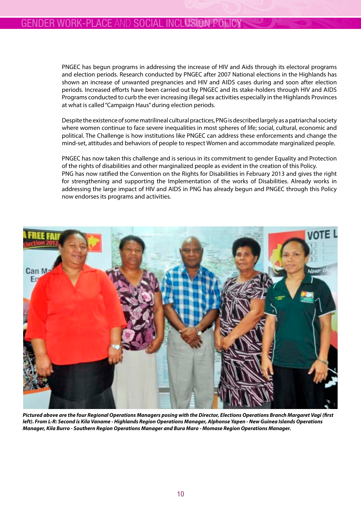PNGEC has begun programs in addressing the increase of HIV and Aids through its electoral programs and election periods. Research conducted by PNGEC after 2007 National elections in the Highlands has shown an increase of unwanted pregnancies and HIV and AIDS cases during and soon after election periods. Increased efforts have been carried out by PNGEC and its stake-holders through HIV and AIDS Programs conducted to curb the ever increasing illegal sex activities especially in the Highlands Provinces at what is called "Campaign Haus" during election periods.

Despite the existence of some matrilineal cultural practices, PNG is described largely as a patriarchal society where women continue to face severe inequalities in most spheres of life; social, cultural, economic and political. The Challenge is how institutions like PNGEC can address these enforcements and change the mind-set, attitudes and behaviors of people to respect Women and accommodate marginalized people.

PNGEC has now taken this challenge and is serious in its commitment to gender Equality and Protection of the rights of disabilities and other marginalized people as evident in the creation of this Policy. PNG has now ratified the Convention on the Rights for Disabilities in February 2013 and gives the right for strengthening and supporting the Implementation of the works of Disabilities. Already works in addressing the large impact of HIV and AIDS in PNG has already begun and PNGEC through this Policy now endorses its programs and activities.



*Pictured above are the four Regional Operations Managers posing with the Director, Elections Operations Branch Margaret Vagi (first left). From L-R: Second is Kila Vaname - Highlands Region Operations Manager, Alphonse Yapen - New Guinea Islands Operations Manager, Kila Burro - Southern Region Operations Manager and Bura Maro - Momase Region Operations Manager.*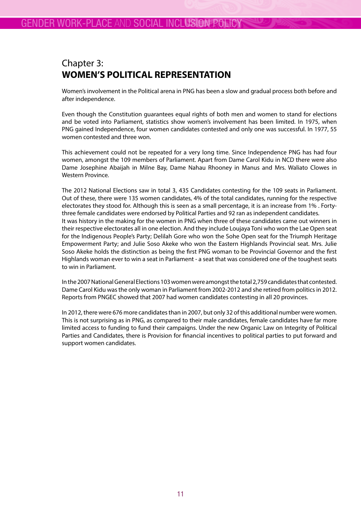## Chapter 3: **WOMEN'S POLITICAL REPRESENTATION**

Women's involvement in the Political arena in PNG has been a slow and gradual process both before and after independence.

Even though the Constitution guarantees equal rights of both men and women to stand for elections and be voted into Parliament, statistics show women's involvement has been limited. In 1975, when PNG gained Independence, four women candidates contested and only one was successful. In 1977, 55 women contested and three won.

This achievement could not be repeated for a very long time. Since Independence PNG has had four women, amongst the 109 members of Parliament. Apart from Dame Carol Kidu in NCD there were also Dame Josephine Abaijah in Milne Bay, Dame Nahau Rhooney in Manus and Mrs. Waliato Clowes in Western Province.

The 2012 National Elections saw in total 3, 435 Candidates contesting for the 109 seats in Parliament. Out of these, there were 135 women candidates, 4% of the total candidates, running for the respective electorates they stood for. Although this is seen as a small percentage, it is an increase from 1% . Fortythree female candidates were endorsed by Political Parties and 92 ran as independent candidates. It was history in the making for the women in PNG when three of these candidates came out winners in their respective electorates all in one election. And they include Loujaya Toni who won the Lae Open seat for the Indigenous People's Party; Delilah Gore who won the Sohe Open seat for the Triumph Heritage Empowerment Party; and Julie Soso Akeke who won the Eastern Highlands Provincial seat. Mrs. Julie Soso Akeke holds the distinction as being the first PNG woman to be Provincial Governor and the first Highlands woman ever to win a seat in Parliament - a seat that was considered one of the toughest seats to win in Parliament.

In the 2007 National General Elections 103 women were amongst the total 2,759 candidates that contested. Dame Carol Kidu was the only woman in Parliament from 2002-2012 and she retired from politics in 2012. Reports from PNGEC showed that 2007 had women candidates contesting in all 20 provinces.

In 2012, there were 676 more candidates than in 2007, but only 32 of this additional number were women. This is not surprising as in PNG, as compared to their male candidates, female candidates have far more limited access to funding to fund their campaigns. Under the new Organic Law on Integrity of Political Parties and Candidates, there is Provision for financial incentives to political parties to put forward and support women candidates.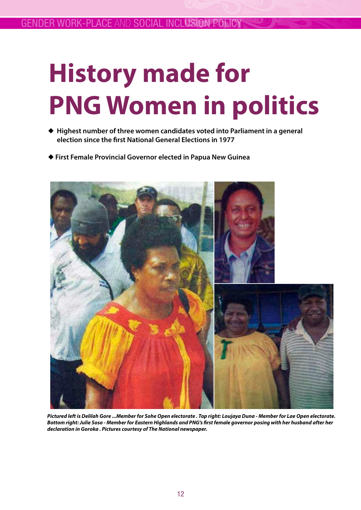# **History made for PNG Women in politics**

- ◆ Highest number of three women candidates voted into Parliament in a general **election since the first National General Elections in 1977**
- ◆ First Female Provincial Governor elected in Papua New Guinea



*Pictured left is Delilah Gore ...Member for Sohe Open electorate . Top right: Loujaya Duna - Member for Lae Open electorate. Bottom right: Julie Soso - Member for Eastern Highlands and PNG's first female governor posing with her husband after her declaration in Goroka . Pictures courtesy of The National newspaper.*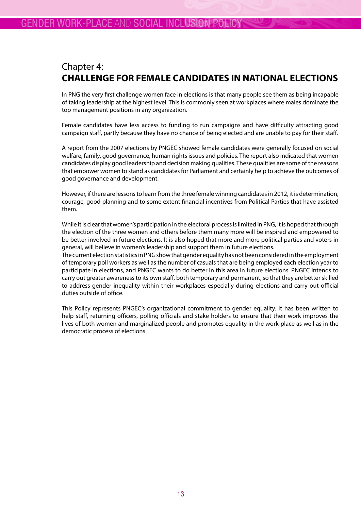## Chapter 4: **CHALLENGE FOR FEMALE CANDIDATES IN NATIONAL ELECTIONS**

In PNG the very first challenge women face in elections is that many people see them as being incapable of taking leadership at the highest level. This is commonly seen at workplaces where males dominate the top management positions in any organization.

Female candidates have less access to funding to run campaigns and have difficulty attracting good campaign staff, partly because they have no chance of being elected and are unable to pay for their staff.

A report from the 2007 elections by PNGEC showed female candidates were generally focused on social welfare, family, good governance, human rights issues and policies. The report also indicated that women candidates display good leadership and decision making qualities. These qualities are some of the reasons that empower women to stand as candidates for Parliament and certainly help to achieve the outcomes of good governance and development.

However, if there are lessons to learn from the three female winning candidates in 2012, it is determination, courage, good planning and to some extent financial incentives from Political Parties that have assisted them.

While it is clear that women's participation in the electoral process is limited in PNG, it is hoped that through the election of the three women and others before them many more will be inspired and empowered to be better involved in future elections. It is also hoped that more and more political parties and voters in general, will believe in women's leadership and support them in future elections.

The current election statistics in PNG show that gender equality has not been considered in the employment of temporary poll workers as well as the number of casuals that are being employed each election year to participate in elections, and PNGEC wants to do better in this area in future elections. PNGEC intends to carry out greater awareness to its own staff, both temporary and permanent, so that they are better skilled to address gender inequality within their workplaces especially during elections and carry out official duties outside of office.

This Policy represents PNGEC's organizational commitment to gender equality. It has been written to help staff, returning officers, polling officials and stake holders to ensure that their work improves the lives of both women and marginalized people and promotes equality in the work-place as well as in the democratic process of elections.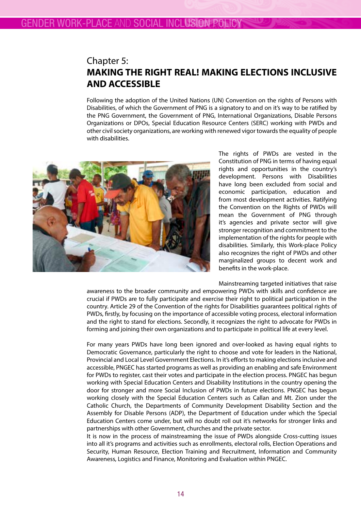## Chapter 5: **MAKING THE RIGHT REAL! MAKING ELECTIONS INCLUSIVE AND ACCESSIBLE**

Following the adoption of the United Nations (UN) Convention on the rights of Persons with Disabilities, of which the Government of PNG is a signatory to and on it's way to be ratified by the PNG Government, the Government of PNG, International Organizations, Disable Persons Organizations or DPOs, Special Education Resource Centers (SERC) working with PWDs and other civil society organizations, are working with renewed vigor towards the equality of people with disabilities.



The rights of PWDs are vested in the Constitution of PNG in terms of having equal rights and opportunities in the country's development. Persons with Disabilities have long been excluded from social and economic participation, education and from most development activities. Ratifying the Convention on the Rights of PWDs will mean the Government of PNG through it's agencies and private sector will give stronger recognition and commitment to the implementation of the rights for people with disabilities. Similarly, this Work-place Policy also recognizes the right of PWDs and other marginalized groups to decent work and benefits in the work-place.

Mainstreaming targeted initiatives that raise awareness to the broader community and empowering PWDs with skills and confidence are crucial if PWDs are to fully participate and exercise their right to political participation in the country. Article 29 of the Convention of the rights for Disabilities guarantees political rights of PWDs, firstly, by focusing on the importance of accessible voting process, electoral information and the right to stand for elections. Secondly, it recognizes the right to advocate for PWDs in forming and joining their own organizations and to participate in political life at every level.

For many years PWDs have long been ignored and over-looked as having equal rights to Democratic Governance, particularly the right to choose and vote for leaders in the National, Provincial and Local Level Government Elections. In it's efforts to making elections inclusive and accessible, PNGEC has started programs as well as providing an enabling and safe Environment for PWDs to register, cast their votes and participate in the election process. PNGEC has begun working with Special Education Centers and Disability Institutions in the country opening the door for stronger and more Social Inclusion of PWDs in future elections. PNGEC has begun working closely with the Special Education Centers such as Callan and Mt. Zion under the Catholic Church, the Departments of Community Development Disability Section and the Assembly for Disable Persons (ADP), the Department of Education under which the Special Education Centers come under, but will no doubt roll out it's networks for stronger links and partnerships with other Government, churches and the private sector.

It is now in the process of mainstreaming the issue of PWDs alongside Cross-cutting issues into all it's programs and activities such as enrollments, electoral rolls, Election Operations and Security, Human Resource, Election Training and Recruitment, Information and Community Awareness, Logistics and Finance, Monitoring and Evaluation within PNGEC.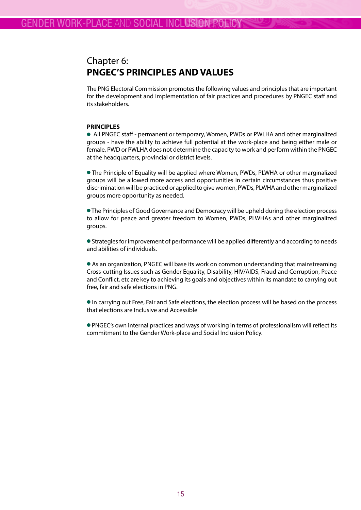## Chapter 6: **PNGEC'S PRINCIPLES AND VALUES**

The PNG Electoral Commission promotes the following values and principles that are important for the development and implementation of fair practices and procedures by PNGEC staff and its stakeholders.

#### **PRINCIPLES**

• All PNGEC staff - permanent or temporary, Women, PWDs or PWLHA and other marginalized groups - have the ability to achieve full potential at the work-place and being either male or female, PWD or PWLHA does not determine the capacity to work and perform within the PNGEC at the headquarters, provincial or district levels.

**• The Principle of Equality will be applied where Women, PWDs, PLWHA or other marginalized** groups will be allowed more access and opportunities in certain circumstances thus positive discrimination will be practiced or applied to give women, PWDs, PLWHA and other marginalized groups more opportunity as needed.

l The Principles of Good Governance and Democracy will be upheld during the election process to allow for peace and greater freedom to Women, PWDs, PLWHAs and other marginalized groups.

**• Strategies for improvement of performance will be applied differently and according to needs** and abilities of individuals.

**•** As an organization, PNGEC will base its work on common understanding that mainstreaming Cross-cutting Issues such as Gender Equality, Disability, HIV/AIDS, Fraud and Corruption, Peace and Conflict, etc are key to achieving its goals and objectives within its mandate to carrying out free, fair and safe elections in PNG.

l In carrying out Free, Fair and Safe elections, the election process will be based on the process that elections are Inclusive and Accessible

l PNGEC's own internal practices and ways of working in terms of professionalism will reflect its commitment to the Gender Work-place and Social Inclusion Policy.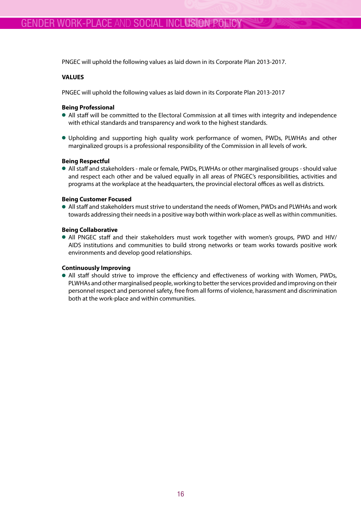PNGEC will uphold the following values as laid down in its Corporate Plan 2013-2017.

#### **VALUES**

PNGEC will uphold the following values as laid down in its Corporate Plan 2013-2017

#### **Being Professional**

- All staff will be committed to the Electoral Commission at all times with integrity and independence with ethical standards and transparency and work to the highest standards.
- l Upholding and supporting high quality work performance of women, PWDs, PLWHAs and other marginalized groups is a professional responsibility of the Commission in all levels of work.

#### **Being Respectful**

• All staff and stakeholders - male or female, PWDs, PLWHAs or other marginalised groups - should value and respect each other and be valued equally in all areas of PNGEC's responsibilities, activities and programs at the workplace at the headquarters, the provincial electoral offices as well as districts.

#### **Being Customer Focused**

● All staff and stakeholders must strive to understand the needs of Women, PWDs and PLWHAs and work towards addressing their needs in a positive way both within work-place as well as within communities.

#### **Being Collaborative**

• All PNGEC staff and their stakeholders must work together with women's groups, PWD and HIV/ AIDS institutions and communities to build strong networks or team works towards positive work environments and develop good relationships.

#### **Continuously Improving**

• All staff should strive to improve the efficiency and effectiveness of working with Women, PWDs, PLWHAs and other marginalised people, working to better the services provided and improving on their personnel respect and personnel safety, free from all forms of violence, harassment and discrimination both at the work-place and within communities.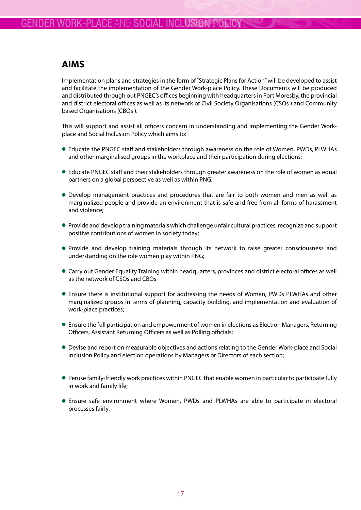## **AIMS**

Implementation plans and strategies in the form of "Strategic Plans for Action" will be developed to assist and facilitate the implementation of the Gender Work-place Policy. These Documents will be produced and distributed through out PNGEC's offices beginning with headquarters in Port Moresby, the provincial and district electoral offices as well as its network of Civil Society Organisations (CSOs ) and Community based Organisations (CBOs ).

This will support and assist all officers concern in understanding and implementing the Gender Workplace and Social Inclusion Policy which aims to:

- l Educate the PNGEC staff and stakeholders through awareness on the role of Women, PWDs, PLWHAs and other marginalised groups in the workplace and their participation during elections;
- l Educate PNGEC staff and their stakeholders through greater awareness on the role of women as equal partners on a global perspective as well as within PNG;
- l Develop management practices and procedures that are fair to both women and men as well as marginalized people and provide an environment that is safe and free from all forms of harassment and violence;
- l Provide and develop training materials which challenge unfair cultural practices, recognize and support positive contributions of women in society today;
- l Provide and develop training materials through its network to raise greater consciousness and understanding on the role women play within PNG;
- l Carry out Gender Equality Training within headquarters, provinces and district electoral offices as well as the network of CSOs and CBOs
- l Ensure there is institutional support for addressing the needs of Women, PWDs PLWHAs and other marginalized groups in terms of planning, capacity building, and implementation and evaluation of work-place practices;
- l Ensure the full participation and empowerment of women in elections as Election Managers, Returning Officers, Assistant Returning Officers as well as Polling officials;
- l Devise and report on measurable objectives and actions relating to the Gender Work-place and Social Inclusion Policy and election operations by Managers or Directors of each section;
- l Peruse family-friendly work practices within PNGEC that enable women in particular to participate fully in work and family life;
- l Ensure safe environment where Women, PWDs and PLWHAs are able to participate in electoral processes fairly.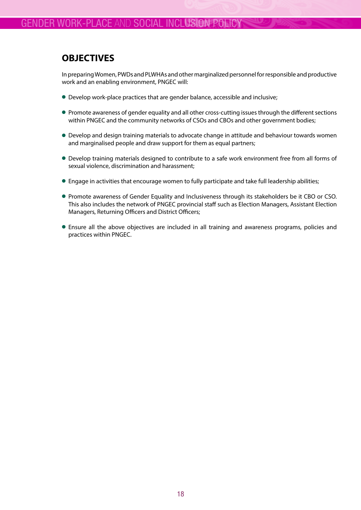## **OBJECTIVES**

In preparing Women, PWDs and PLWHAs and other marginalized personnel for responsible and productive work and an enabling environment, PNGEC will:

- l Develop work-place practices that are gender balance, accessible and inclusive;
- l Promote awareness of gender equality and all other cross-cutting issues through the different sections within PNGEC and the community networks of CSOs and CBOs and other government bodies;
- $\bullet$  Develop and design training materials to advocate change in attitude and behaviour towards women and marginalised people and draw support for them as equal partners;
- l Develop training materials designed to contribute to a safe work environment free from all forms of sexual violence, discrimination and harassment;
- l Engage in activities that encourage women to fully participate and take full leadership abilities;
- l Promote awareness of Gender Equality and Inclusiveness through its stakeholders be it CBO or CSO. This also includes the network of PNGEC provincial staff such as Election Managers, Assistant Election Managers, Returning Officers and District Officers;
- l Ensure all the above objectives are included in all training and awareness programs, policies and practices within PNGEC.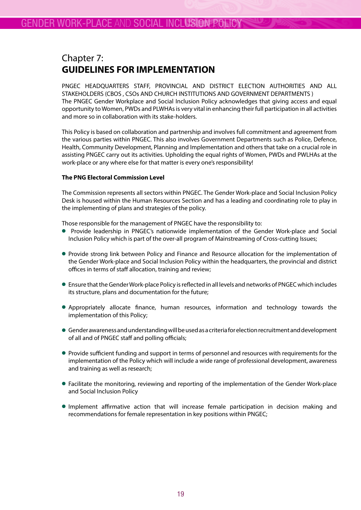## Chapter 7: **GUIDELINES FOR IMPLEMENTATION**

PNGEC HEADQUARTERS STAFF, PROVINCIAL AND DISTRICT ELECTION AUTHORITIES AND ALL STAKEHOLDERS (CBOS , CSOs AND CHURCH INSTITUTIONS AND GOVERNMENT DEPARTMENTS ) The PNGEC Gender Workplace and Social Inclusion Policy acknowledges that giving access and equal opportunity to Women, PWDs and PLWHAs is very vital in enhancing their full participation in all activities and more so in collaboration with its stake-holders.

This Policy is based on collaboration and partnership and involves full commitment and agreement from the various parties within PNGEC. This also involves Government Departments such as Police, Defence, Health, Community Development, Planning and Implementation and others that take on a crucial role in assisting PNGEC carry out its activities. Upholding the equal rights of Women, PWDs and PWLHAs at the work-place or any where else for that matter is every one's responsibility!

#### **The PNG Electoral Commission Level**

The Commission represents all sectors within PNGEC. The Gender Work-place and Social Inclusion Policy Desk is housed within the Human Resources Section and has a leading and coordinating role to play in the implementing of plans and strategies of the policy.

Those responsible for the management of PNGEC have the responsibility to:

- l Provide leadership in PNGEC's nationwide implementation of the Gender Work-place and Social Inclusion Policy which is part of the over-all program of Mainstreaming of Cross-cutting Issues;
- l Provide strong link between Policy and Finance and Resource allocation for the implementation of the Gender Work-place and Social Inclusion Policy within the headquarters, the provincial and district offices in terms of staff allocation, training and review;
- l Ensure that the Gender Work-place Policy is reflected in all levels and networks of PNGEC which includes its structure, plans and documentation for the future;
- l Appropriately allocate finance, human resources, information and technology towards the implementation of this Policy;
- l Gender awareness and understanding will be used as a criteria for election recruitment and development of all and of PNGEC staff and polling officials;
- **•** Provide sufficient funding and support in terms of personnel and resources with requirements for the implementation of the Policy which will include a wide range of professional development, awareness and training as well as research;
- l Facilitate the monitoring, reviewing and reporting of the implementation of the Gender Work-place and Social Inclusion Policy
- l Implement affirmative action that will increase female participation in decision making and recommendations for female representation in key positions within PNGEC;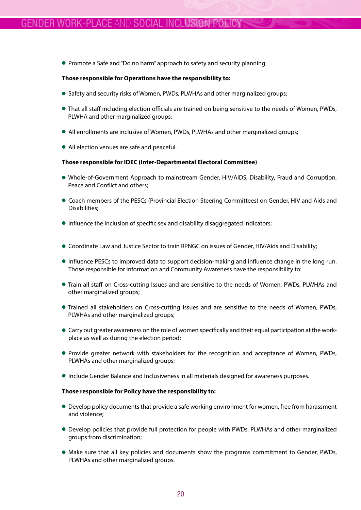• Promote a Safe and "Do no harm" approach to safety and security planning.

#### **Those responsible for Operations have the responsibility to:**

- Safety and security risks of Women, PWDs, PLWHAs and other marginalized groups;
- l That all staff including election officials are trained on being sensitive to the needs of Women, PWDs, PLWHA and other marginalized groups;
- All enrollments are inclusive of Women, PWDs, PLWHAs and other marginalized groups;
- All election venues are safe and peaceful.

#### **Those responsible for IDEC (Inter-Departmental Electoral Committee)**

- l Whole-of-Government Approach to mainstream Gender, HIV/AIDS, Disability, Fraud and Corruption, Peace and Conflict and others;
- l Coach members of the PESCs (Provincial Election Steering Committees) on Gender, HIV and Aids and Disabilities;
- Influence the inclusion of specific sex and disability disaggregated indicators;
- **Coordinate Law and Justice Sector to train RPNGC on issues of Gender, HIV/Aids and Disability;**
- l Influence PESCs to improved data to support decision-making and influence change in the long run. Those responsible for Information and Community Awareness have the responsibility to:
- l Train all staff on Cross-cutting Issues and are sensitive to the needs of Women, PWDs, PLWHAs and other marginalized groups;
- l Trained all stakeholders on Cross-cutting issues and are sensitive to the needs of Women, PWDs, PLWHAs and other marginalized groups;
- l Carry out greater awareness on the role of women specifically and their equal participation at the workplace as well as during the election period;
- l Provide greater network with stakeholders for the recognition and acceptance of Women, PWDs, PLWHAs and other marginalized groups;
- **Include Gender Balance and Inclusiveness in all materials designed for awareness purposes.**

#### **Those responsible for Policy have the responsibility to:**

- $\bullet$  Develop policy documents that provide a safe working environment for women, free from harassment and violence;
- l Develop policies that provide full protection for people with PWDs, PLWHAs and other marginalized groups from discrimination;
- l Make sure that all key policies and documents show the programs commitment to Gender, PWDs, PLWHAs and other marginalized groups.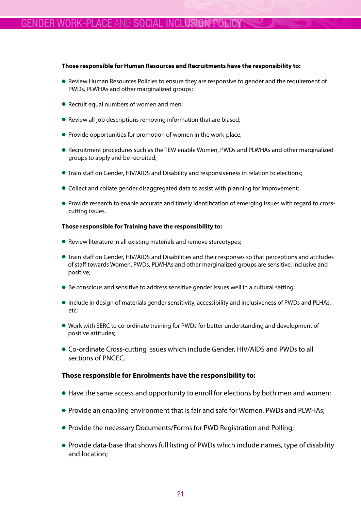#### **Those responsible for Human Resources and Recruitments have the responsibility to:**

- **Review Human Resources Policies to ensure they are responsive to gender and the requirement of** PWDs, PLWHAs and other marginalized groups;
- $\bullet$  Recruit equal numbers of women and men;
- **.** Review all job descriptions removing information that are biased;
- Provide opportunities for promotion of women in the work-place;
- Recruitment procedures such as the TEW enable Women, PWDs and PLWHAs and other marginalized groups to apply and be recruited;
- **Train staff on Gender, HIV/AIDS and Disability and responsiveness in relation to elections;**
- Collect and collate gender disaggregated data to assist with planning for improvement;
- l Provide research to enable accurate and timely identification of emerging issues with regard to crosscutting issues.

#### **Those responsible for Training have the responsibility to:**

- Review literature in all existing materials and remove stereotypes;
- l Train staff on Gender, HIV/AIDS and Disabilities and their responses so that perceptions and attitudes of staff towards Women, PWDs, PLWHAs and other marginalized groups are sensitive, inclusive and positive;
- $\bullet$  Be conscious and sensitive to address sensitive gender issues well in a cultural setting;
- l Include in design of materials gender sensitivity, accessibility and inclusiveness of PWDs and PLHAs, etc;
- l Work with SERC to co-ordinate training for PWDs for better understanding and development of positive attitudes;
- <sup>l</sup> Co-ordinate Cross-cutting Issues which include Gender, HIV/AIDS and PWDs to all sections of PNGEC.

#### **Those responsible for Enrolments have the responsibility to:**

- Have the same access and opportunity to enroll for elections by both men and women;
- Provide an enabling environment that is fair and safe for Women, PWDs and PLWHAs;
- Provide the necessary Documents/Forms for PWD Registration and Polling;
- Provide data-base that shows full listing of PWDs which include names, type of disability and location;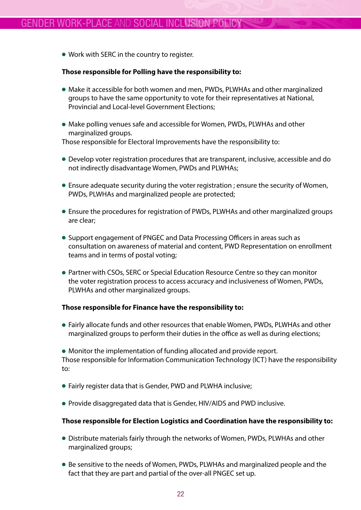• Work with SERC in the country to register.

#### **Those responsible for Polling have the responsibility to:**

- Make it accessible for both women and men, PWDs, PLWHAs and other marginalized groups to have the same opportunity to vote for their representatives at National, Provincial and Local-level Government Elections;
- Make polling venues safe and accessible for Women, PWDs, PLWHAs and other marginalized groups.

Those responsible for Electoral Improvements have the responsibility to:

- <sup>l</sup> Develop voter registration procedures that are transparent, inclusive, accessible and do not indirectly disadvantage Women, PWDs and PLWHAs;
- Ensure adequate security during the voter registration ; ensure the security of Women, PWDs, PLWHAs and marginalized people are protected;
- Ensure the procedures for registration of PWDs, PLWHAs and other marginalized groups are clear;
- **.** Support engagement of PNGEC and Data Processing Officers in areas such as consultation on awareness of material and content, PWD Representation on enrollment teams and in terms of postal voting;
- Partner with CSOs, SERC or Special Education Resource Centre so they can monitor the voter registration process to access accuracy and inclusiveness of Women, PWDs, PLWHAs and other marginalized groups.

#### **Those responsible for Finance have the responsibility to:**

**• Fairly allocate funds and other resources that enable Women, PWDs, PLWHAs and other** marginalized groups to perform their duties in the office as well as during elections;

• Monitor the implementation of funding allocated and provide report. Those responsible for Information Communication Technology (ICT) have the responsibility to:

- Fairly register data that is Gender, PWD and PLWHA inclusive;
- <sup>l</sup> Provide disaggregated data that is Gender, HIV/AIDS and PWD inclusive.

#### **Those responsible for Election Logistics and Coordination have the responsibility to:**

- Distribute materials fairly through the networks of Women, PWDs, PLWHAs and other marginalized groups;
- Be sensitive to the needs of Women, PWDs, PLWHAs and marginalized people and the fact that they are part and partial of the over-all PNGEC set up.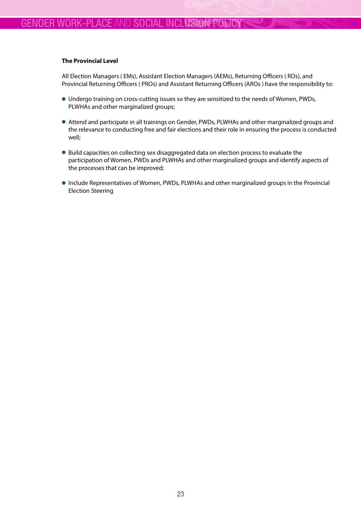#### **The Provincial Level**

All Election Managers ( EMs), Assistant Election Managers (AEMs), Returning Officers ( ROs), and Provincial Returning Officers ( PROs) and Assistant Returning Officers (AROs ) have the responsibility to:

- $\bullet$  Undergo training on cross-cutting issues so they are sensitized to the needs of Women, PWDs, PLWHAs and other marginalized groups;
- l Attend and participate in all trainings on Gender, PWDs, PLWHAs and other marginalized groups and the relevance to conducting free and fair elections and their role in ensuring the process is conducted well;
- Build capacities on collecting sex disaggregated data on election process to evaluate the participation of Women, PWDs and PLWHAs and other marginalized groups and identify aspects of the processes that can be improved;
- l Include Representatives of Women, PWDs, PLWHAs and other marginalized groups in the Provincial Election Steering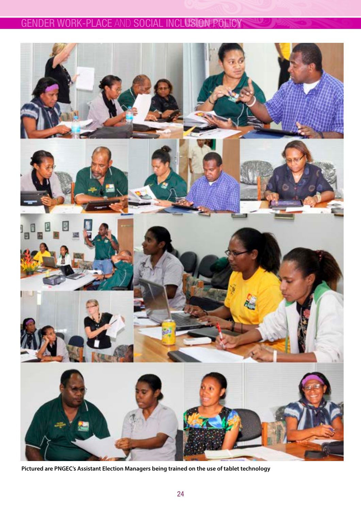## GENDER WORK-PLACE AND SOCIAL INCLUSION POLI



**Pictured are PNGEC's Assistant Election Managers being trained on the use of tablet technology**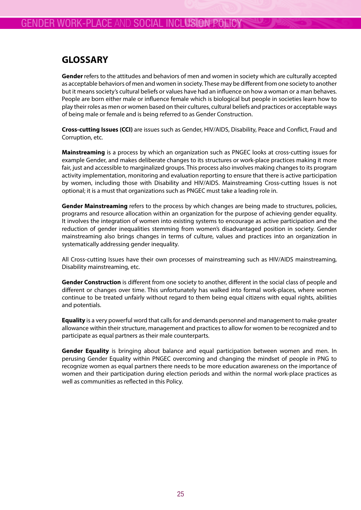## **GLOSSARY**

**Gender** refers to the attitudes and behaviors of men and women in society which are culturally accepted as acceptable behaviors of men and women in society. These may be different from one society to another but it means society's cultural beliefs or values have had an influence on how a woman or a man behaves. People are born either male or influence female which is biological but people in societies learn how to play their roles as men or women based on their cultures, cultural beliefs and practices or acceptable ways of being male or female and is being referred to as Gender Construction.

**Cross-cutting Issues (CCI)** are issues such as Gender, HIV/AIDS, Disability, Peace and Conflict, Fraud and Corruption, etc.

**Mainstreaming** is a process by which an organization such as PNGEC looks at cross-cutting issues for example Gender, and makes deliberate changes to its structures or work-place practices making it more fair, just and accessible to marginalized groups. This process also involves making changes to its program activity implementation, monitoring and evaluation reporting to ensure that there is active participation by women, including those with Disability and HIV/AIDS. Mainstreaming Cross-cutting Issues is not optional; it is a must that organizations such as PNGEC must take a leading role in.

**Gender Mainstreaming** refers to the process by which changes are being made to structures, policies, programs and resource allocation within an organization for the purpose of achieving gender equality. It involves the integration of women into existing systems to encourage as active participation and the reduction of gender inequalities stemming from women's disadvantaged position in society. Gender mainstreaming also brings changes in terms of culture, values and practices into an organization in systematically addressing gender inequality.

All Cross-cutting Issues have their own processes of mainstreaming such as HIV/AIDS mainstreaming, Disability mainstreaming, etc.

**Gender Construction** is different from one society to another, different in the social class of people and different or changes over time. This unfortunately has walked into formal work-places, where women continue to be treated unfairly without regard to them being equal citizens with equal rights, abilities and potentials.

**Equality** is a very powerful word that calls for and demands personnel and management to make greater allowance within their structure, management and practices to allow for women to be recognized and to participate as equal partners as their male counterparts.

**Gender Equality** is bringing about balance and equal participation between women and men. In perusing Gender Equality within PNGEC overcoming and changing the mindset of people in PNG to recognize women as equal partners there needs to be more education awareness on the importance of women and their participation during election periods and within the normal work-place practices as well as communities as reflected in this Policy.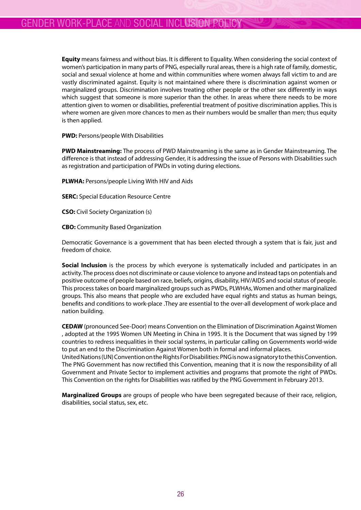**Equity** means fairness and without bias. It is different to Equality. When considering the social context of women's participation in many parts of PNG, especially rural areas, there is a high rate of family, domestic, social and sexual violence at home and within communities where women always fall victim to and are vastly discriminated against. Equity is not maintained where there is discrimination against women or marginalized groups. Discrimination involves treating other people or the other sex differently in ways which suggest that someone is more superior than the other. In areas where there needs to be more attention given to women or disabilities, preferential treatment of positive discrimination applies. This is where women are given more chances to men as their numbers would be smaller than men; thus equity is then applied.

**PWD: Persons/people With Disabilities** 

**PWD Mainstreaming:** The process of PWD Mainstreaming is the same as in Gender Mainstreaming. The difference is that instead of addressing Gender, it is addressing the issue of Persons with Disabilities such as registration and participation of PWDs in voting during elections.

**PLWHA:** Persons/people Living With HIV and Aids

**SERC:** Special Education Resource Centre

**CSO:** Civil Society Organization (s)

**CBO:** Community Based Organization

Democratic Governance is a government that has been elected through a system that is fair, just and freedom of choice.

**Social Inclusion** is the process by which everyone is systematically included and participates in an activity. The process does not discriminate or cause violence to anyone and instead taps on potentials and positive outcome of people based on race, beliefs, origins, disability, HIV/AIDS and social status of people. This process takes on board marginalized groups such as PWDs, PLWHAs, Women and other marginalized groups. This also means that people who are excluded have equal rights and status as human beings, benefits and conditions to work-place .They are essential to the over-all development of work-place and nation building.

**CEDAW** (pronounced See-Door) means Convention on the Elimination of Discrimination Against Women , adopted at the 1995 Women UN Meeting in China in 1995. It is the Document that was signed by 199 countries to redress inequalities in their social systems, in particular calling on Governments world-wide to put an end to the Discrimination Against Women both in formal and informal places. United Nations (UN) Convention on the Rights For Disabilities: PNG is now a signatory to the this Convention. The PNG Government has now rectified this Convention, meaning that it is now the responsibility of all Government and Private Sector to implement activities and programs that promote the right of PWDs. This Convention on the rights for Disabilities was ratified by the PNG Government in February 2013.

**Marginalized Groups** are groups of people who have been segregated because of their race, religion, disabilities, social status, sex, etc.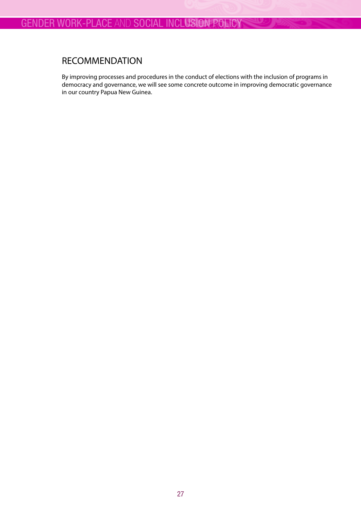## RECOMMENDATION

By improving processes and procedures in the conduct of elections with the inclusion of programs in democracy and governance, we will see some concrete outcome in improving democratic governance in our country Papua New Guinea.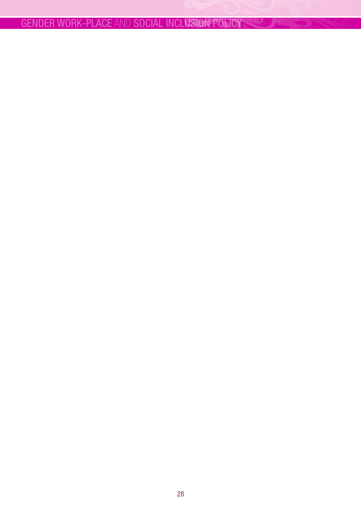## GENDER WORK-PLACE AND SOCIAL INCLUSION POLICY